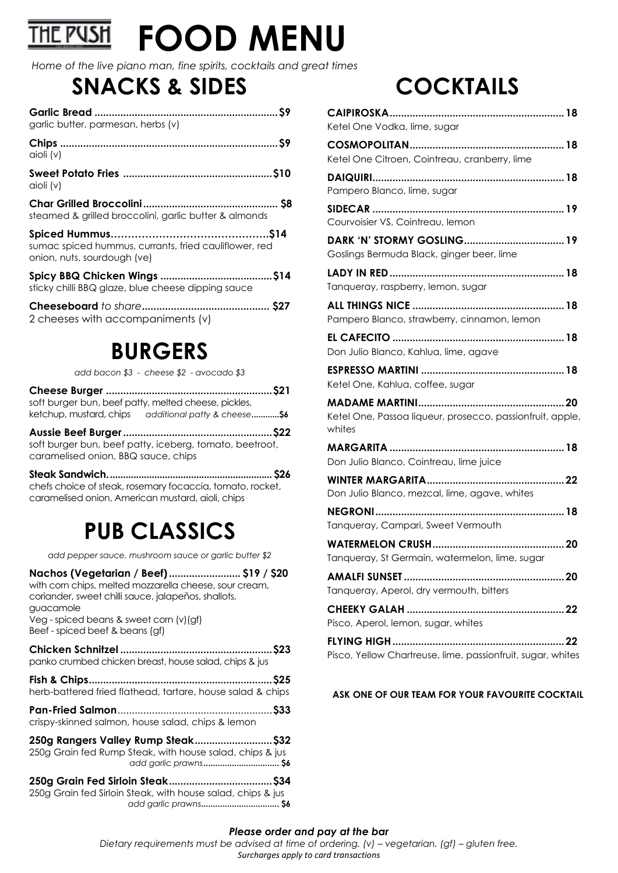### **HE PUSH FOOD MENU**

*Home of the live piano man, fine spirits, cocktails and great times*

## **SNACKS & SIDES**

| garlic butter, parmesan, herbs (v)                                                   |  |
|--------------------------------------------------------------------------------------|--|
| $\alpha$ ioli (v)                                                                    |  |
| $\alpha$ ioli (v)                                                                    |  |
| steamed & grilled broccolini, garlic butter & almonds                                |  |
| sumac spiced hummus, currants, fried cauliflower, red<br>onion, nuts, sourdough (ve) |  |
| sticky chilli BBQ glaze, blue cheese dipping sauce                                   |  |
| 2 cheeses with accompaniments (v)                                                    |  |

# **BURGERS**

*add bacon \$3 - cheese \$2 - avocado \$3* 

**Cheese Burger ..........................................................\$21** soft burger bun, beef patty, melted cheese, pickles, ketchup, mustard, chips *additional patty & cheese***............\$6**

**Aussie Beef Burger....................................................\$22** soft burger bun, beef patty, iceberg, tomato, beetroot, caramelised onion, BBQ sauce, chips

**Steak Sandwich............................................................... \$26** chefs choice of steak, rosemary focaccia, tomato, rocket, caramelised onion, American mustard, aioli, chips

# **PUB CLASSICS**

*add pepper sauce, mushroom sauce or garlic butter \$2*

**Nachos (Vegetarian / Beef)......................... \$19 / \$20** with corn chips, melted mozzarella cheese, sour cream, coriander, sweet chilli sauce, jalapeños, shallots, guacamole Veg - spiced beans & sweet corn (v)(gf) Beef - spiced beef & beans (gf) **Chicken Schnitzel .....................................................\$23** panko crumbed chicken breast, house salad, chips & jus **Fish & Chips................................................................\$25** herb-battered fried flathead, tartare, house salad & chips

**Pan-Fried Salmon**......................................................**\$33** crispy-skinned salmon, house salad, chips & lemon

**250g Rangers Valley Rump Steak...........................\$32** 250g Grain fed Rump Steak, with house salad, chips & jus *add garlic prawns***................................ \$6**

**250g Grain Fed Sirloin Steak....................................\$34** 250g Grain fed Sirloin Steak, with house salad, chips & jus  *add garlic prawns***................................. \$6**

# **COCKTAILS**

| Ketel One Vodka, lime, sugar                                        |
|---------------------------------------------------------------------|
| Ketel One Citroen, Cointreau, cranberry, lime                       |
| Pampero Blanco, lime, sugar                                         |
| Courvoisier VS, Cointreau, lemon                                    |
| Goslings Bermuda Black, ginger beer, lime                           |
| Tanqueray, raspberry, lemon, sugar                                  |
| Pampero Blanco, strawberry, cinnamon, lemon                         |
| Don Julio Blanco, Kahlua, lime, agave                               |
| Ketel One, Kahlua, coffee, sugar                                    |
| Ketel One, Passoa liqueur, prosecco, passionfruit, apple,<br>whites |
| Don Julio Blanco, Cointreau, lime juice                             |
| . 22<br>Don Julio Blanco, mezcal, lime, agave, whites               |
| Tanqueray, Campari, Sweet Vermouth                                  |
| Tanqueray, St Germain, watermelon, lime, sugar                      |
| Tanqueray, Aperol, dry vermouth, bitters                            |
| Pisco, Aperol, lemon, sugar, whites                                 |
| 22<br>Pisco, Yellow Chartreuse, lime, passionfruit, sugar, whites   |

#### **ASK ONE OF OUR TEAM FOR YOUR FAVOURITE COCKTAIL**

#### *Please order and pay at the bar*

*Dietary requirements must be advised at time of ordering. (v) – vegetarian. (gf) – gluten free. Surcharges apply to card transactions*